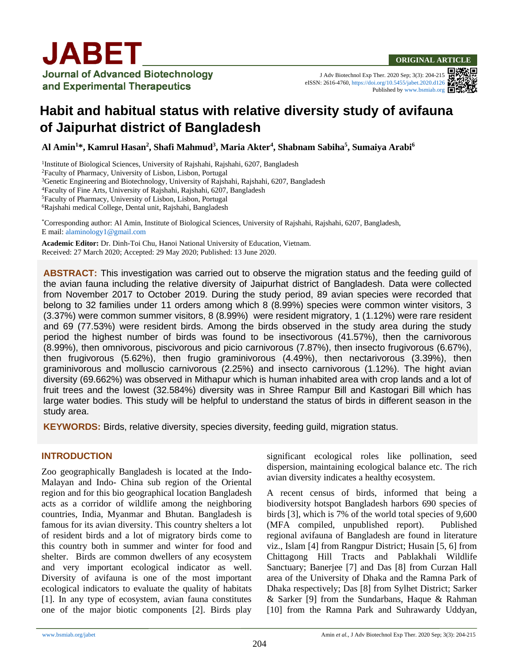J Adv Biotechnol Exp Ther. 2020 Sep; 3(3): 204-215 eISSN: 2616-4760[, https://doi.org/10.5455/jabet.2020.d126](https://doi.org/10.5455/jabet.2020.d126) Published b[y www.bsmiab.org](http://www.bsmiab.org/)



# **Habit and habitual status with relative diversity study of avifauna of Jaipurhat district of Bangladesh**

**Al Amin<sup>1</sup>\*, Kamrul Hasan<sup>2</sup> , Shafi Mahmud<sup>3</sup> , Maria Akter<sup>4</sup> , Shabnam Sabiha<sup>5</sup> , Sumaiya Arabi<sup>6</sup>**

<sup>1</sup>Institute of Biological Sciences, University of Rajshahi, Rajshahi, 6207, Bangladesh Faculty of Pharmacy, University of Lisbon, Lisbon, Portugal <sup>3</sup>Genetic Engineering and Biotechnology, University of Rajshahi, Rajshahi, 6207, Bangladesh Faculty of Fine Arts, University of Rajshahi, Rajshahi, 6207, Bangladesh Faculty of Pharmacy, University of Lisbon, Lisbon, Portugal Rajshahi medical College, Dental unit, Rajshahi, Bangladesh

\*Corresponding author: Al Amin, Institute of Biological Sciences, University of Rajshahi, Rajshahi, 6207, Bangladesh, E mail[: alaminology1@gmail.com](mailto:alaminology1@gmail.com)

**Academic Editor:** Dr. Dinh-Toi Chu, Hanoi National University of Education, Vietnam. Received: 27 March 2020; Accepted: 29 May 2020; Published: 13 June 2020.

**ABSTRACT:** This investigation was carried out to observe the migration status and the feeding guild of the avian fauna including the relative diversity of Jaipurhat district of Bangladesh. Data were collected from November 2017 to October 2019. During the study period, 89 avian species were recorded that belong to 32 families under 11 orders among which 8 (8.99%) species were common winter visitors, 3 (3.37%) were common summer visitors, 8 (8.99%) were resident migratory, 1 (1.12%) were rare resident and 69 (77.53%) were resident birds. Among the birds observed in the study area during the study period the highest number of birds was found to be insectivorous (41.57%), then the carnivorous (8.99%), then omnivorous, piscivorous and picio carnivorous (7.87%), then insecto frugivorous (6.67%), then frugivorous (5.62%), then frugio graminivorous (4.49%), then nectarivorous (3.39%), then graminivorous and molluscio carnivorous (2.25%) and insecto carnivorous (1.12%). The hight avian diversity (69.662%) was observed in Mithapur which is human inhabited area with crop lands and a lot of fruit trees and the lowest (32.584%) diversity was in Shree Rampur Bill and Kastogari Bill which has large water bodies. This study will be helpful to understand the status of birds in different season in the study area.

**KEYWORDS:** Birds, relative diversity, species diversity, feeding guild, migration status.

### **INTRODUCTION**

Zoo geographically Bangladesh is located at the Indo-Malayan and Indo- China sub region of the Oriental region and for this bio geographical location Bangladesh acts as a corridor of wildlife among the neighboring countries, India, Myanmar and Bhutan. Bangladesh is famous for its avian diversity. This country shelters a lot of resident birds and a lot of migratory birds come to this country both in summer and winter for food and shelter. Birds are common dwellers of any ecosystem and very important ecological indicator as well. Diversity of avifauna is one of the most important ecological indicators to evaluate the quality of habitats [1]. In any type of ecosystem, avian fauna constitutes one of the major biotic components [2]. Birds play significant ecological roles like pollination, seed dispersion, maintaining ecological balance etc. The rich avian diversity indicates a healthy ecosystem.

A recent census of birds, informed that being a biodiversity hotspot Bangladesh harbors 690 species of birds [3], which is 7% of the world total species of 9,600 (MFA compiled, unpublished report). Published regional avifauna of Bangladesh are found in literature viz., Islam [4] from Rangpur District; Husain [5, 6] from Chittagong Hill Tracts and Pablakhali Wildlife Sanctuary; Banerjee [7] and Das [8] from Curzan Hall area of the University of Dhaka and the Ramna Park of Dhaka respectively; Das [8] from Sylhet District; Sarker & Sarker [9] from the Sundarbans, Haque & Rahman [10] from the Ramna Park and Suhrawardy Uddyan,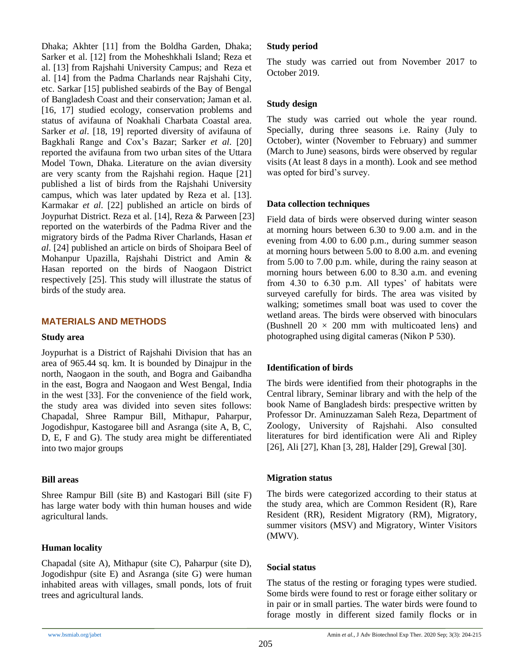Dhaka; Akhter [11] from the Boldha Garden, Dhaka; Sarker et al. [12] from the Moheshkhali Island; Reza et al. [13] from Rajshahi University Campus; and Reza et al. [14] from the Padma Charlands near Rajshahi City, etc. Sarkar [15] published seabirds of the Bay of Bengal of Bangladesh Coast and their conservation; Jaman et al. [16, 17] studied ecology, conservation problems and status of avifauna of Noakhali Charbata Coastal area. Sarker *et al*. [18, 19] reported diversity of avifauna of Bagkhali Range and Cox's Bazar; Sarker *et al*. [20] reported the avifauna from two urban sites of the Uttara Model Town, Dhaka. Literature on the avian diversity are very scanty from the Rajshahi region. Haque [21] published a list of birds from the Rajshahi University campus, which was later updated by Reza et al. [13]. Karmakar *et al*. [22] published an article on birds of Joypurhat District. Reza et al. [14], Reza & Parween [23] reported on the waterbirds of the Padma River and the migratory birds of the Padma River Charlands, Hasan *et al*. [24] published an article on birds of Shoipara Beel of Mohanpur Upazilla, Rajshahi District and Amin & Hasan reported on the birds of Naogaon District respectively [25]. This study will illustrate the status of birds of the study area.

### **MATERIALS AND METHODS**

#### **Study area**

Joypurhat is a District of Rajshahi Division that has an area of 965.44 sq. km. It is bounded by Dinajpur in the north, Naogaon in the south, and Bogra and Gaibandha in the east, Bogra and Naogaon and West Bengal, India in the west [33]. For the convenience of the field work, the study area was divided into seven sites follows: Chapadal, Shree Rampur Bill, Mithapur, Paharpur, Jogodishpur, Kastogaree bill and Asranga (site A, B, C, D, E, F and G). The study area might be differentiated into two major groups

### **Bill areas**

Shree Rampur Bill (site B) and Kastogari Bill (site F) has large water body with thin human houses and wide agricultural lands.

### **Human locality**

Chapadal (site A), Mithapur (site C), Paharpur (site D), Jogodishpur (site E) and Asranga (site G) were human inhabited areas with villages, small ponds, lots of fruit trees and agricultural lands.

### **Study period**

The study was carried out from November 2017 to October 2019.

# **Study design**

The study was carried out whole the year round. Specially, during three seasons i.e. Rainy (July to October), winter (November to February) and summer (March to June) seasons, birds were observed by regular visits (At least 8 days in a month). Look and see method was opted for bird's survey.

### **Data collection techniques**

Field data of birds were observed during winter season at morning hours between 6.30 to 9.00 a.m. and in the evening from 4.00 to 6.00 p.m., during summer season at morning hours between 5.00 to 8.00 a.m. and evening from 5.00 to 7.00 p.m. while, during the rainy season at morning hours between 6.00 to 8.30 a.m. and evening from 4.30 to 6.30 p.m. All types' of habitats were surveyed carefully for birds. The area was visited by walking; sometimes small boat was used to cover the wetland areas. The birds were observed with binoculars (Bushnell  $20 \times 200$  mm with multicoated lens) and photographed using digital cameras (Nikon P 530).

# **Identification of birds**

The birds were identified from their photographs in the Central library, Seminar library and with the help of the book Name of Bangladesh birds: prespective written by Professor Dr. Aminuzzaman Saleh Reza, Department of Zoology, University of Rajshahi. Also consulted literatures for bird identification were Ali and Ripley [26], Ali [27], Khan [3, 28], Halder [29], Grewal [30].

### **Migration status**

The birds were categorized according to their status at the study area, which are Common Resident (R), Rare Resident (RR), Resident Migratory (RM), Migratory, summer visitors (MSV) and Migratory, Winter Visitors (MWV).

### **Social status**

The status of the resting or foraging types were studied. Some birds were found to rest or forage either solitary or in pair or in small parties. The water birds were found to forage mostly in different sized family flocks or in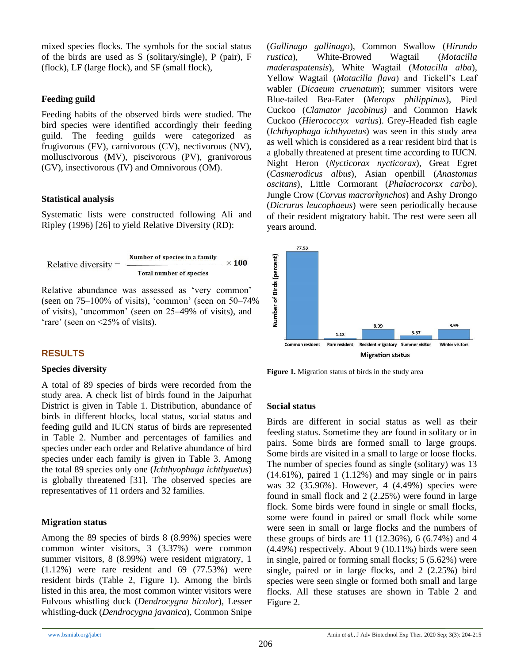mixed species flocks. The symbols for the social status of the birds are used as S (solitary/single), P (pair), F (flock), LF (large flock), and SF (small flock),

# **Feeding guild**

Feeding habits of the observed birds were studied. The bird species were identified accordingly their feeding guild. The feeding guilds were categorized as frugivorous (FV), carnivorous (CV), nectivorous (NV), molluscivorous (MV), piscivorous (PV), granivorous (GV), insectivorous (IV) and Omnivorous (OM).

# **Statistical analysis**

Systematic lists were constructed following Ali and Ripley (1996) [26] to yield Relative Diversity (RD):

Relative diversity = 
$$
\frac{\text{Number of species in a family}}{\text{Total number of species}} \times 100
$$

Relative abundance was assessed as 'very common' (seen on 75–100% of visits), 'common' (seen on 50–74% of visits), 'uncommon' (seen on 25–49% of visits), and 'rare' (seen on <25% of visits).

# **RESULTS**

# **Species diversity**

A total of 89 species of birds were recorded from the study area. A check list of birds found in the Jaipurhat District is given in Table 1. Distribution, abundance of birds in different blocks, local status, social status and feeding guild and IUCN status of birds are represented in Table 2. Number and percentages of families and species under each order and Relative abundance of bird species under each family is given in Table 3. Among the total 89 species only one (*Ichthyophaga ichthyaetus*) is globally threatened [31]. The observed species are representatives of 11 orders and 32 families.

# **Migration status**

Among the 89 species of birds 8 (8.99%) species were common winter visitors, 3 (3.37%) were common summer visitors, 8 (8.99%) were resident migratory, 1  $(1.12\%)$  were rare resident and 69  $(77.53\%)$  were resident birds (Table 2, Figure 1). Among the birds listed in this area, the most common winter visitors were Fulvous whistling duck (*Dendrocygna bicolor*), Lesser whistling-duck (*Dendrocygna javanica*), Common Snipe (*Gallinago gallinago*), Common Swallow (*Hirundo rustica*), White-Browed Wagtail (*Motacilla maderaspatensis*), White Wagtail (*Motacilla alba*), Yellow Wagtail (*Motacilla flava*) and Tickell's Leaf wabler (*Dicaeum cruenatum*); summer visitors were Blue-tailed Bea-Eater (*Merops philippinus*), Pied Cuckoo (*Clamator jacobinus)* and Common Hawk Cuckoo (*Hierococcyx varius*). Grey-Headed fish eagle (*Ichthyophaga ichthyaetus*) was seen in this study area as well which is considered as a rear resident bird that is a globally threatened at present time according to IUCN. Night Heron (*Nycticorax nycticorax*), Great Egret (*Casmerodicus albus*), Asian openbill (*Anastomus oscitans*), Little Cormorant (*Phalacrocorsx carbo*), Jungle Crow (*Corvus macrorhynchos*) and Ashy Drongo (*Dicrurus leucophaeus*) were seen periodically because of their resident migratory habit. The rest were seen all years around.



**Figure 1.** Migration status of birds in the study area

# **Social status**

Birds are different in social status as well as their feeding status. Sometime they are found in solitary or in pairs. Some birds are formed small to large groups. Some birds are visited in a small to large or loose flocks. The number of species found as single (solitary) was 13  $(14.61\%)$ , paired 1  $(1.12\%)$  and may single or in pairs was 32 (35.96%). However, 4 (4.49%) species were found in small flock and 2 (2.25%) were found in large flock. Some birds were found in single or small flocks, some were found in paired or small flock while some were seen in small or large flocks and the numbers of these groups of birds are 11 (12.36%), 6 (6.74%) and 4 (4.49%) respectively. About 9 (10.11%) birds were seen in single, paired or forming small flocks; 5 (5.62%) were single, paired or in large flocks, and 2 (2.25%) bird species were seen single or formed both small and large flocks. All these statuses are shown in Table 2 and Figure 2.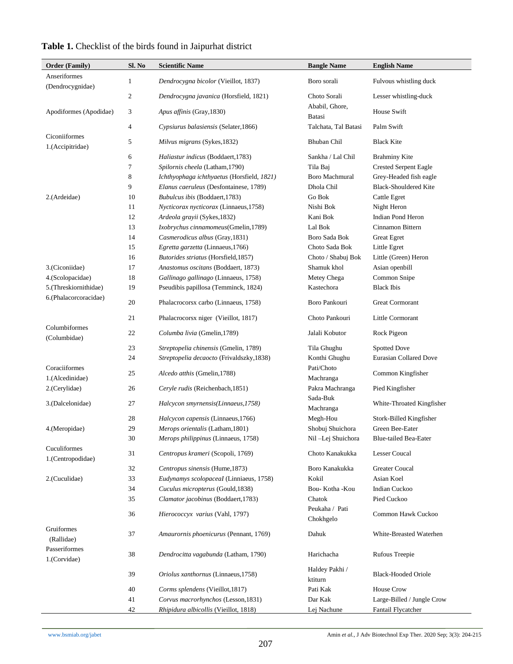| <b>Order (Family)</b>             | Sl. No           | <b>Scientific Name</b>                     | <b>Bangle Name</b>        | <b>English Name</b>           |
|-----------------------------------|------------------|--------------------------------------------|---------------------------|-------------------------------|
| Anseriformes                      | 1                | Dendrocygna bicolor (Vieillot, 1837)       | Boro sorali               | Fulvous whistling duck        |
| (Dendrocygnidae)                  |                  |                                            |                           |                               |
|                                   | $\boldsymbol{2}$ | Dendrocygna javanica (Horsfield, 1821)     | Choto Sorali              | Lesser whistling-duck         |
| Apodiformes (Apodidae)            | 3                | Apus affinis (Gray, 1830)                  | Ababil, Ghore,<br>Batasi  | <b>House Swift</b>            |
|                                   | 4                | Cypsiurus balasiensis (Selater, 1866)      | Talchata, Tal Batasi      | Palm Swift                    |
| Ciconiiformes                     | 5                | Milvus migrans (Sykes, 1832)               | <b>Bhuban Chil</b>        | <b>Black Kite</b>             |
| 1.(Accipitridae)                  |                  |                                            |                           |                               |
|                                   | 6                | Haliastur indicus (Boddaert, 1783)         | Sankha / Lal Chil         | <b>Brahminy Kite</b>          |
|                                   | 7                | Spilornis cheela (Latham, 1790)            | Tila Baj                  | <b>Crested Serpent Eagle</b>  |
|                                   | 8                | Ichthyophaga ichthyaetus (Horsfield, 1821) | <b>Boro Machmural</b>     | Grey-Headed fish eagle        |
|                                   | 9                | Elanus caeruleus (Desfontainese, 1789)     | Dhola Chil                | <b>Black-Shouldered Kite</b>  |
| 2.(Ardeidae)                      | 10               | Bubulcus ibis (Boddaert, 1783)             | Go Bok                    | Cattle Egret                  |
|                                   | 11               | Nycticorax nycticorax (Linnaeus, 1758)     | Nishi Bok                 | Night Heron                   |
|                                   | 12               | Ardeola grayii (Sykes, 1832)               | Kani Bok                  | Indian Pond Heron             |
|                                   | 13               | Ixobrychus cinnamomeus(Gmelin,1789)        | Lal Bok                   | Cinnamon Bittern              |
|                                   | 14               | Casmerodicus albus (Gray, 1831)            | Boro Sada Bok             | <b>Great Egret</b>            |
|                                   | 15               | Egretta garzetta (Linnaeus, 1766)          | Choto Sada Bok            | Little Egret                  |
|                                   | 16               | Butorides striatus (Horsfield, 1857)       | Choto / Shabuj Bok        | Little (Green) Heron          |
| 3.(Ciconiidae)                    | 17               | Anastomus oscitans (Boddaert, 1873)        | Shamuk khol               | Asian openbill                |
| 4.(Scolopacidae)                  | 18               | Gallinago gallinago (Linnaeus, 1758)       | Metey Chega               | Common Snipe                  |
| 5.(Threskiornithidae)             | 19               | Pseudibis papillosa (Temminck, 1824)       | Kastechora                | <b>Black Ibis</b>             |
| 6.(Phalacorcoracidae)             | 20               | Phalacrocorsx carbo (Linnaeus, 1758)       | Boro Pankouri             | <b>Great Cormorant</b>        |
|                                   | 21               | Phalacrocorsx niger (Vieillot, 1817)       | Choto Pankouri            | Little Cormorant              |
| Columbiformes<br>(Columbidae)     | 22               | Columba livia (Gmelin, 1789)               | Jalali Kobutor            | Rock Pigeon                   |
|                                   | 23               | Streptopelia chinensis (Gmelin, 1789)      | Tila Ghughu               | <b>Spotted Dove</b>           |
|                                   | 24               | Streptopelia decaocto (Frivaldszky, 1838)  | Konthi Ghughu             | <b>Eurasian Collared Dove</b> |
| Coraciiformes                     |                  |                                            | Pati/Choto                |                               |
| 1.(Alcedinidae)                   | 25               | Alcedo atthis (Gmelin, 1788)               | Machranga                 | Common Kingfisher             |
| 2.(Cerylidae)                     | 26               | Ceryle rudis (Reichenbach, 1851)           | Pakra Machranga           | Pied Kingfisher               |
| 3.(Dalcelonidae)                  | 27               | Halcycon smyrnensis(Linnaeus, 1758)        | Sada-Buk<br>Machranga     | White-Throated Kingfisher     |
|                                   | 28               | Halcycon capensis (Linnaeus, 1766)         | Megh-Hou                  | Stork-Billed Kingfisher       |
| 4.(Meropidae)                     | 29               | <i>Merops orientalis</i> (Latham,1801)     | Shobuj Shuichora          | Green Bee-Eater               |
|                                   | 30               | Merops philippinus (Linnaeus, 1758)        | Nil-Lej Shuichora         | <b>Blue-tailed Bea-Eater</b>  |
| Cuculiformes<br>1.(Centropodidae) | 31               | Centropus krameri (Scopoli, 1769)          | Choto Kanakukka           | <b>Lesser Coucal</b>          |
|                                   | 32               | Centropus sinensis (Hume, 1873)            | Boro Kanakukka            | Greater Coucal                |
| 2.(Cuculidae)                     | 33               | Eudynamys scolopaceal (Linniaeus, 1758)    | Kokil                     | Asian Koel                    |
|                                   | 34               | Cuculus micropterus (Gould, 1838)          | Bou-Kotha-Kou             | <b>Indian Cuckoo</b>          |
|                                   | 35               | Clamator jacobinus (Boddaert, 1783)        | Chatok                    | Pied Cuckoo                   |
|                                   |                  |                                            | Peukaha / Pati            |                               |
|                                   | 36               | Hierococcyx varius (Vahl, 1797)            | Chokhgelo                 | Common Hawk Cuckoo            |
| Gruiformes<br>(Rallidae)          | 37               | Amaurornis phoenicurus (Pennant, 1769)     | Dahuk                     | White-Breasted Waterhen       |
| Passeriformes<br>1.(Corvidae)     | 38               | Dendrocitta vagabunda (Latham, 1790)       | Harichacha                | Rufous Treepie                |
|                                   | 39               | Oriolus xanthornus (Linnaeus, 1758)        | Haldey Pakhi /<br>ktiturn | <b>Black-Hooded Oriole</b>    |
|                                   | 40               | Corms splendens (Vieillot, 1817)           | Pati Kak                  | <b>House Crow</b>             |
|                                   | 41               | Corvus macrorhynchos (Lesson, 1831)        | Dar Kak                   | Large-Billed / Jungle Crow    |
|                                   | 42               | Rhipidura albicollis (Vieillot, 1818)      | Lej Nachune               | Fantail Flycatcher            |

# **Table 1.** Checklist of the birds found in Jaipurhat district

[www.bsmiab.org/jabet](http://www.bsmiab.org/jabet) Amin *et al.,* J Adv Biotechnol Exp Ther. 2020 Sep; 3(3): 204-215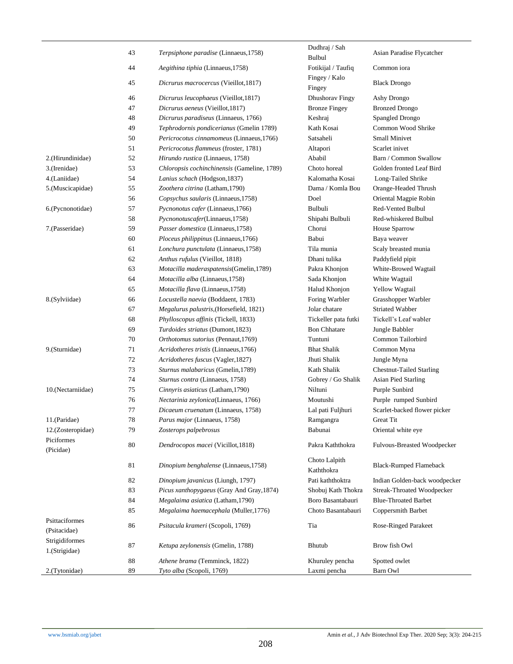|                   | 43 | Terpsiphone paradise (Linnaeus, 1758)       | Dudhraj / Sah               | Asian Paradise Flycatcher       |
|-------------------|----|---------------------------------------------|-----------------------------|---------------------------------|
|                   |    |                                             | <b>Bulbul</b>               |                                 |
|                   | 44 | Aegithina tiphia (Linnaeus, 1758)           | Fotikijal / Taufiq          | Common iora                     |
|                   | 45 | Dicrurus macrocercus (Vieillot, 1817)       | Fingey / Kalo<br>Fingey     | <b>Black Drongo</b>             |
|                   | 46 | Dicrurus leucophaeus (Vieillot, 1817)       | Dhushorav Fingy             | Ashy Drongo                     |
|                   | 47 | Dicrurus aeneus (Vieillot, 1817)            | <b>Bronze Fingey</b>        | <b>Bronzed Drongo</b>           |
|                   | 48 | Dicrurus paradiseus (Linnaeus, 1766)        | Keshraj                     | Spangled Drongo                 |
|                   | 49 | Tephrodornis pondicerianus (Gmelin 1789)    | Kath Kosai                  | Common Wood Shrike              |
|                   | 50 | Pericrocotus cinnamomeus (Linnaeus, 1766)   | Satsaheli                   | <b>Small Minivet</b>            |
|                   | 51 | Pericrocotus flammeus (froster, 1781)       | Altapori                    | Scarlet inivet                  |
| 2.(Hirundinidae)  | 52 | Hirundo rustica (Linnaeus, 1758)            | Ababil                      | Barn / Common Swallow           |
| 3.(Irenidae)      | 53 | Chloropsis cochinchinensis (Gameline, 1789) | Choto horeal                | Golden fronted Leaf Bird        |
| 4.(Laniidae)      | 54 | Lanius schach (Hodgson, 1837)               | Kalomatha Kosai             | Long-Tailed Shrike              |
| 5.(Muscicapidae)  | 55 | Zoothera citrina (Latham, 1790)             | Dama / Komla Bou            | Orange-Headed Thrush            |
|                   | 56 | Copsychus saularis (Linnaeus, 1758)         | Doel                        | Oriental Magpie Robin           |
| 6.(Pycnonotidae)  | 57 | Pycnonotus cafer (Linnaeus, 1766)           | Bulbuli                     | Red-Vented Bulbul               |
|                   | 58 | Pycnonotuscafer(Linnaeus,1758)              | Shipahi Bulbuli             | Red-whiskered Bulbul            |
| 7.(Passeridae)    | 59 | Passer domestica (Linnaeus, 1758)           | Chorui                      | House Sparrow                   |
|                   | 60 | Ploceus philippinus (Linnaeus, 1766)        | Babui                       | Baya weaver                     |
|                   | 61 | Lonchura punctulata (Linnaeus, 1758)        | Tila munia                  | Scaly breasted munia            |
|                   | 62 | Anthus rufulus (Vieillot, 1818)             | Dhani tulika                | Paddyfield pipit                |
|                   | 63 | Motacilla maderaspatensis(Gmelin,1789)      | Pakra Khonjon               | White-Browed Wagtail            |
|                   | 64 | Motacilla alba (Linnaeus, 1758)             | Sada Khonjon                | White Wagtail                   |
|                   | 65 | Motacilla flava (Linnaeus, 1758)            | Halud Khonjon               | Yellow Wagtail                  |
| 8.(Sylviidae)     | 66 | Locustella naevia (Boddaent, 1783)          | Foring Warbler              | Grasshopper Warbler             |
|                   | 67 | Megalurus palustris, (Horsefield, 1821)     | Jolar chatare               | <b>Striated Wabber</b>          |
|                   | 68 | Phylloscopus affinis (Tickell, 1833)        | Tickeller pata futki        | Tickell's Leaf wabler           |
|                   | 69 | Turdoides striatus (Dumont, 1823)           | <b>Bon Chhatare</b>         | Jungle Babbler                  |
|                   | 70 | Orthotomus sutorius (Pennaut, 1769)         | Tuntuni                     | Common Tailorbird               |
| 9.(Sturnidae)     | 71 | Acridotheres tristis (Linnaeus, 1766)       | <b>Bhat Shalik</b>          | Common Myna                     |
|                   | 72 | Acridotheres fuscus (Vagler, 1827)          | Jhuti Shalik                | Jungle Myna                     |
|                   | 73 | Sturnus malabaricus (Gmelin, 1789)          | Kath Shalik                 | <b>Chestnut-Tailed Starling</b> |
|                   | 74 | Sturnus contra (Linnaeus, 1758)             | Gobrey / Go Shalik          | <b>Asian Pied Starling</b>      |
| 10.(Nectarniidae) | 75 | Cinnyris asiaticus (Latham, 1790)           | Niltuni                     | Purple Sunbird                  |
|                   | 76 | Nectarinia zeylonica(Linnaeus, 1766)        | Moutushi                    | Purple rumped Sunbird           |
|                   | 77 | Dicaeum cruenatum (Linnaeus, 1758)          | Lal pati Fuljhuri           | Scarlet-backed flower picker    |
| 11.(Paridae)      | 78 | Parus major (Linnaeus, 1758)                | Ramgangra                   | <b>Great Tit</b>                |
| 12.(Zosteropidae) | 79 | Zosterops palpebrosus                       | Babunai                     |                                 |
| Piciformes        |    |                                             |                             | Oriental white eye              |
| (Picidae)         | 80 | Dendrocopos macei (Vicillot, 1818)          | Pakra Kaththokra            | Fulvous-Breasted Woodpecker     |
|                   | 81 | Dinopium benghalense (Linnaeus, 1758)       | Choto Lalpith<br>Kaththokra | <b>Black-Rumped Flameback</b>   |
|                   | 82 | Dinopium javanicus (Liungh, 1797)           | Pati kaththoktra            | Indian Golden-back woodpecker   |
|                   | 83 | Picus xanthopygaeus (Gray And Gray, 1874)   | Shobuj Kath Thokra          | Streak-Throated Woodpecker      |
|                   | 84 | Megalaima asiatica (Latham, 1790)           | Boro Basantabauri           | <b>Blue-Throated Barbet</b>     |
|                   | 85 | Megalaima haemacephala (Muller, 1776)       | Choto Basantabauri          | Coppersmith Barbet              |
| Psittaciformes    |    |                                             |                             |                                 |
| (Psitacidae)      | 86 | Psitacula krameri (Scopoli, 1769)           | Tia                         | <b>Rose-Ringed Parakeet</b>     |
| Strigidiformes    |    |                                             |                             |                                 |
| 1.(Strigidae)     | 87 | Ketupa zeylonensis (Gmelin, 1788)           | Bhutub                      | Brow fish Owl                   |
|                   | 88 | Athene brama (Temminck, 1822)               | Khuruley pencha             | Spotted owlet                   |
| 2.(Tytonidae)     | 89 | Tyto alba (Scopoli, 1769)                   | Laxmi pencha                | Barn Owl                        |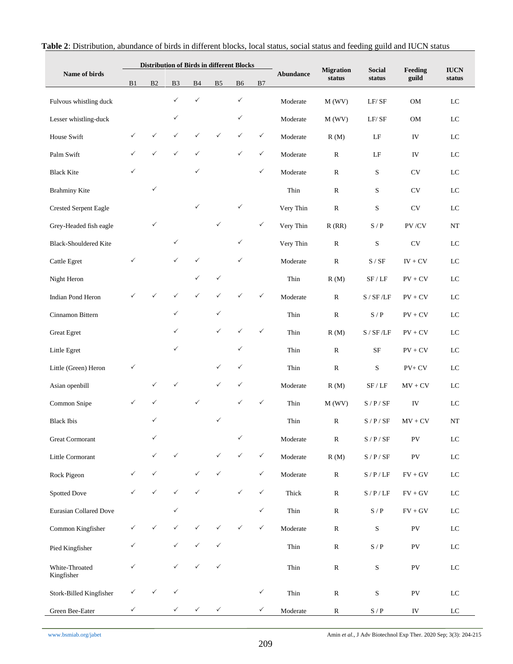|                              | <b>Distribution of Birds in different Blocks</b> |              |                |              |                |                |              |           | <b>Migration</b> | <b>Social</b>                                         | Feeding                            | <b>IUCN</b> |
|------------------------------|--------------------------------------------------|--------------|----------------|--------------|----------------|----------------|--------------|-----------|------------------|-------------------------------------------------------|------------------------------------|-------------|
| Name of birds                | B1                                               | B2           | B <sub>3</sub> | B4           | B <sub>5</sub> | B <sub>6</sub> | B7           | Abundance | status           | status                                                | guild                              | status      |
| Fulvous whistling duck       |                                                  |              | $\checkmark$   | $\checkmark$ |                | $\checkmark$   |              | Moderate  | M(WV)            | LF/SF                                                 | <b>OM</b>                          | LC          |
| Lesser whistling-duck        |                                                  |              | ✓              |              |                | ✓              |              | Moderate  | M(WV)            | LF/SF                                                 | OM                                 | $_{\rm LC}$ |
| House Swift                  |                                                  |              | ✓              | ✓            | $\checkmark$   | ✓              | $\checkmark$ | Moderate  | R(M)             | $\rm LF$                                              | IV                                 | ${\rm LC}$  |
| Palm Swift                   |                                                  | $\checkmark$ | $\checkmark$   | $\checkmark$ |                | $\checkmark$   | ✓            | Moderate  | $\mathbb{R}$     | $\rm LF$                                              | IV                                 | $_{\rm LC}$ |
| <b>Black Kite</b>            | ✓                                                |              |                | $\checkmark$ |                |                | $\checkmark$ | Moderate  | $\mathbb{R}$     | $\mathbf S$                                           | CV                                 | LC          |
| <b>Brahminy Kite</b>         |                                                  | $\checkmark$ |                |              |                |                |              | Thin      | $\mathbb{R}$     | S                                                     | <b>CV</b>                          | $_{\rm LC}$ |
| <b>Crested Serpent Eagle</b> |                                                  |              |                | $\checkmark$ |                | ✓              |              | Very Thin | ${\bf R}$        | S                                                     | <b>CV</b>                          | LC          |
| Grey-Headed fish eagle       |                                                  | $\checkmark$ |                |              | $\checkmark$   |                | $\checkmark$ | Very Thin | R(RR)            | S/P                                                   | PV/CV                              | $_{\rm NT}$ |
| <b>Black-Shouldered Kite</b> |                                                  |              | $\checkmark$   |              |                | ✓              |              | Very Thin | ${\bf R}$        | S                                                     | $\mathrm{CV}$                      | LC          |
| Cattle Egret                 | ✓                                                |              | $\checkmark$   | $\checkmark$ |                | $\checkmark$   |              | Moderate  | ${\bf R}$        | S / SF                                                | $IV + CV$                          | LC          |
| Night Heron                  |                                                  |              |                | $\checkmark$ | $\checkmark$   |                |              | Thin      | R(M)             | SF / LF                                               | $PV + CV$                          | ${\rm LC}$  |
| Indian Pond Heron            |                                                  |              | ✓              | $\checkmark$ | $\checkmark$   | ✓              | $\checkmark$ | Moderate  | ${\bf R}$        | S / SF / LF                                           | $PV + CV$                          | ${\rm LC}$  |
| Cinnamon Bittern             |                                                  |              | $\checkmark$   |              | $\checkmark$   |                |              | Thin      | ${\bf R}$        | $\ensuremath{\mathrm{S}}$ / $\ensuremath{\mathrm{P}}$ | $PV + CV$                          | LC          |
| <b>Great Egret</b>           |                                                  |              | ✓              |              | $\checkmark$   | ✓              | $\checkmark$ | Thin      | R(M)             | S / SF / LF                                           | $PV + CV$                          | LC          |
| Little Egret                 |                                                  |              | ✓              |              |                | $\checkmark$   |              | Thin      | ${\bf R}$        | SF                                                    | $PV + CV$                          | $_{\rm LC}$ |
| Little (Green) Heron         | ✓                                                |              |                |              | ✓              | ✓              |              | Thin      | ${\bf R}$        | S                                                     | $PV + CV$                          | ${\rm LC}$  |
| Asian openbill               |                                                  | $\checkmark$ | ✓              |              | $\checkmark$   | ✓              |              | Moderate  | R(M)             | SF / LF                                               | $MV + CV$                          | LC          |
| Common Snipe                 | ✓                                                |              |                | $\checkmark$ |                | ✓              | $\checkmark$ | Thin      | M(WV)            | S/P/SF                                                | IV                                 | LC          |
| <b>Black Ibis</b>            |                                                  | ✓            |                |              | ✓              |                |              | Thin      | ${\bf R}$        | S/P/SF                                                | $MV + CV$                          | NT          |
| Great Cormorant              |                                                  | $\checkmark$ |                |              |                | $\checkmark$   |              | Moderate  | ${\bf R}$        | $S$ / $P$ / $SF$                                      | ${\rm PV}$                         | ${\rm LC}$  |
| Little Cormorant             |                                                  | $\checkmark$ | $\checkmark$   |              | $\checkmark$   | $\checkmark$   | $\checkmark$ | Moderate  | R(M)             | $S / P / SF$                                          | ${\rm PV}$                         | ${\rm LC}$  |
| Rock Pigeon                  | $\checkmark$                                     | $\checkmark$ |                | $\checkmark$ | $\checkmark$   |                | ✓            | Moderate  | ${\bf R}$        | S / P / LF                                            | $F\mathbf{V}+\mathbf{G}\mathbf{V}$ | $_{\rm LC}$ |
| Spotted Dove                 | ✓                                                | $\checkmark$ | $\checkmark$   | $\checkmark$ |                | $\checkmark$   | $\checkmark$ | Thick     | $\mathbb{R}$     | S / P / LF                                            | $FV + GV$                          | $_{\rm LC}$ |
| Eurasian Collared Dove       |                                                  |              | $\checkmark$   |              |                |                | $\checkmark$ | Thin      | $\mathbb{R}$     | $S$ / $\rm P$                                         | $F\mathbf{V}+\mathbf{G}\mathbf{V}$ | $_{\rm LC}$ |
| Common Kingfisher            | ✓                                                | $\checkmark$ | $\checkmark$   | ✓            | ✓              | ✓              | $\checkmark$ | Moderate  | ${\bf R}$        | ${\bf S}$                                             | PV                                 | $_{\rm LC}$ |
| Pied Kingfisher              | ✓                                                |              | $\checkmark$   | $\checkmark$ | $\checkmark$   |                |              | Thin      | ${\bf R}$        | $\mathbf S$ / $\mathbf P$                             | PV                                 | ${\rm LC}$  |
| White-Throated<br>Kingfisher | $\checkmark$                                     |              | $\checkmark$   | $\checkmark$ | $\checkmark$   |                |              | Thin      | ${\bf R}$        | ${\bf S}$                                             | ${\rm PV}$                         | ${\rm LC}$  |
| Stork-Billed Kingfisher      |                                                  |              | ✓              |              |                |                | $\checkmark$ | Thin      | ${\bf R}$        | ${\bf S}$                                             | ${\rm PV}$                         | ${\rm LC}$  |
| Green Bee-Eater              | ✓                                                |              | $\checkmark$   | $\checkmark$ | $\checkmark$   |                | $\checkmark$ | Moderate  | ${\bf R}$        | $\mathbf{S}$ / $\mathbf{P}$                           | ${\rm IV}$                         | ${\rm LC}$  |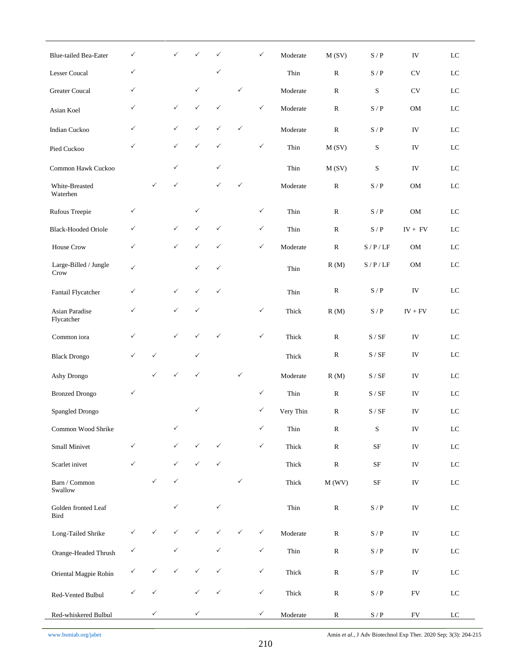| <b>Blue-tailed Bea-Eater</b>  | ✓            |              | ✓            |              | ✓            |              | $\checkmark$ | Moderate  | M(SV)        | S/P                                                   | IV          | LC          |
|-------------------------------|--------------|--------------|--------------|--------------|--------------|--------------|--------------|-----------|--------------|-------------------------------------------------------|-------------|-------------|
| <b>Lesser Coucal</b>          | ✓            |              |              |              | ✓            |              |              | Thin      | $\mathbb{R}$ | S/P                                                   | <b>CV</b>   | LC          |
| <b>Greater Coucal</b>         | ✓            |              |              | $\checkmark$ |              | $\checkmark$ |              | Moderate  | $\mathbb{R}$ | S                                                     | <b>CV</b>   | LC          |
| Asian Koel                    | ✓            |              | $\checkmark$ | ✓            | $\checkmark$ |              | $\checkmark$ | Moderate  | ${\bf R}$    | S/P                                                   | <b>OM</b>   | $_{\rm LC}$ |
| <b>Indian Cuckoo</b>          | ✓            |              | $\checkmark$ | ✓            | $\checkmark$ | $\checkmark$ |              | Moderate  | $\mathbb{R}$ | S / P                                                 | IV          | LC          |
| Pied Cuckoo                   | ✓            |              | ✓            | ✓            | $\checkmark$ |              | $\checkmark$ | Thin      | M(SV)        | S                                                     | IV          | LC          |
| Common Hawk Cuckoo            |              |              | $\checkmark$ |              | $\checkmark$ |              |              | Thin      | M(SV)        | $\mathbf S$                                           | IV          | LC          |
| White-Breasted<br>Waterhen    |              | ✓            | ✓            |              | $\checkmark$ | $\checkmark$ |              | Moderate  | ${\bf R}$    | S/P                                                   | OM          | LC          |
| Rufous Treepie                | $\checkmark$ |              |              | $\checkmark$ |              |              | $\checkmark$ | Thin      | ${\bf R}$    | $\ensuremath{\mathrm{S}}$ / $\ensuremath{\mathrm{P}}$ | $_{\rm OM}$ | ${\rm LC}$  |
| <b>Black-Hooded Oriole</b>    | ✓            |              | $\checkmark$ | ✓            | $\checkmark$ |              | $\checkmark$ | Thin      | ${\bf R}$    | S/P                                                   | $IV + FV$   | $_{\rm LC}$ |
| House Crow                    | $\checkmark$ |              | $\checkmark$ | ✓            | $\checkmark$ |              | $\checkmark$ | Moderate  | ${\bf R}$    | S/P/LF                                                | OM          | LC          |
| Large-Billed / Jungle<br>Crow | $\checkmark$ |              |              | ✓            | $\checkmark$ |              |              | Thin      | R(M)         | S/P/LF                                                | OM          | ${\rm LC}$  |
| Fantail Flycatcher            | ✓            |              | $\checkmark$ | $\checkmark$ | $\checkmark$ |              |              | Thin      | ${\bf R}$    | S/P                                                   | IV          | $_{\rm LC}$ |
| Asian Paradise<br>Flycatcher  | ✓            |              | $\checkmark$ | ✓            |              |              | $\checkmark$ | Thick     | R(M)         | S/P                                                   | $IV + FV$   | LC          |
| Common iora                   | ✓            |              | $\checkmark$ | ✓            | ✓            |              | $\checkmark$ | Thick     | ${\bf R}$    | S / SF                                                | IV          | $_{\rm LC}$ |
| <b>Black Drongo</b>           | ✓            | $\checkmark$ |              | $\checkmark$ |              |              |              | Thick     | ${\bf R}$    | S / SF                                                | IV          | LC          |
| Ashy Drongo                   |              | ✓            | ✓            | ✓            |              | $\checkmark$ |              | Moderate  | R(M)         | S / SF                                                | IV          | $_{\rm LC}$ |
| <b>Bronzed Drongo</b>         | $\checkmark$ |              |              |              |              |              | $\checkmark$ | Thin      | ${\bf R}$    | S / SF                                                | IV          | LC          |
| Spangled Drongo               |              |              |              | ✓            |              |              | ✓            | Very Thin | $\mathbb{R}$ | S / SF                                                | IV          | LC          |
| Common Wood Shrike            |              |              | ✓            |              |              |              | $\checkmark$ | Thin      | ${\bf R}$    | S                                                     | ${\rm IV}$  | ${\rm LC}$  |
| Small Minivet                 | ✓            |              | ✓            | ✓            | $\checkmark$ |              | $\checkmark$ | Thick     | ${\bf R}$    | $\rm SF$                                              | ${\rm IV}$  | ${\rm LC}$  |
| Scarlet inivet                | $\checkmark$ |              | $\checkmark$ | ✓            | $\checkmark$ |              |              | Thick     | ${\bf R}$    | $\rm SF$                                              | ${\rm IV}$  | ${\rm LC}$  |
| Barn / Common<br>Swallow      |              | ✓            | $\checkmark$ |              |              | $\checkmark$ |              | Thick     | M(WV)        | $\rm SF$                                              | ${\rm IV}$  | $_{\rm LC}$ |
| Golden fronted Leaf<br>Bird   |              |              | $\checkmark$ |              | $\checkmark$ |              |              | Thin      | ${\bf R}$    | $\mathbf{S}$ / $\mathbf{P}$                           | ${\rm IV}$  | $_{\rm LC}$ |
| Long-Tailed Shrike            |              |              |              |              | ✓            | $\checkmark$ | $\checkmark$ | Moderate  | ${\bf R}$    | $S$ / $\rm P$                                         | ${\rm IV}$  | ${\rm LC}$  |
| Orange-Headed Thrush          | ✓            |              | ✓            |              | ✓            |              | $\checkmark$ | Thin      | ${\bf R}$    | $S$ / $\rm P$                                         | ${\rm IV}$  | ${\rm LC}$  |
| Oriental Magpie Robin         |              | ✓            |              |              | ✓            |              | $\checkmark$ | Thick     | ${\bf R}$    | $\mathbf{S}$ / $\mathbf{P}$                           | ${\rm IV}$  | $_{\rm LC}$ |
| Red-Vented Bulbul             | ✓            | ✓            |              |              | ✓            |              | $\checkmark$ | Thick     | ${\bf R}$    | $\mathbf{S}$ / $\mathbf{P}$                           | ${\rm FV}$  | $_{\rm LC}$ |
| Red-whiskered Bulbul          |              | $\checkmark$ |              | $\checkmark$ |              |              | $\checkmark$ | Moderate  | ${\bf R}$    | $\mathbf{S}$ / $\mathbf{P}$                           | ${\rm FV}$  | $_{\rm LC}$ |

[www.bsmiab.org/jabet](http://www.bsmiab.org/jabet) Amin *et al.,* J Adv Biotechnol Exp Ther. 2020 Sep; 3(3): 204-215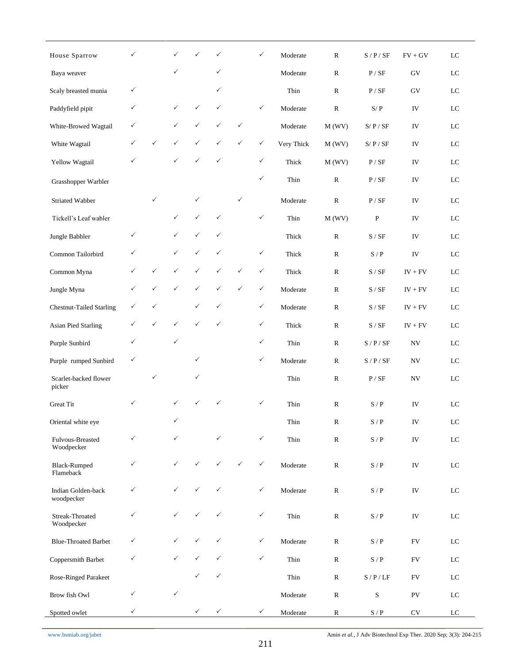| House Sparrow                    | $\checkmark$ |              | ✓            |              | ✓            |              | ✓            | Moderate   | ${\bf R}$     | S/P/SF                      | $FV + GV$             | ${\rm LC}$  |
|----------------------------------|--------------|--------------|--------------|--------------|--------------|--------------|--------------|------------|---------------|-----------------------------|-----------------------|-------------|
| Baya weaver                      |              |              | $\checkmark$ |              | ✓            |              |              | Moderate   | ${\bf R}$     | P / SF                      | GV                    | ${\rm LC}$  |
| Scaly breasted munia             | $\checkmark$ |              |              |              | ✓            |              |              | Thin       | $\mathbb{R}$  | P / SF                      | GV                    | ${\rm LC}$  |
| Paddyfield pipit                 | $\checkmark$ |              | ✓            | ✓            | $\checkmark$ |              | ✓            | Moderate   | ${\bf R}$     | S/P                         | IV                    | ${\rm LC}$  |
| White-Browed Wagtail             | $\checkmark$ |              | $\checkmark$ | $\checkmark$ | ✓            | $\checkmark$ |              | Moderate   | M(WV)         | S/P/SF                      | IV                    | ${\rm LC}$  |
| White Wagtail                    | $\checkmark$ | ✓            | $\checkmark$ | ✓            | ✓            | $\checkmark$ | ✓            | Very Thick | M(WV)         | S/P/SF                      | IV                    | $_{\rm LC}$ |
| Yellow Wagtail                   | $\checkmark$ |              | $\checkmark$ | ✓            | $\checkmark$ |              | ✓            | Thick      | M(WV)         | P / SF                      | IV                    | ${\rm LC}$  |
| Grasshopper Warbler              |              |              |              |              |              |              | $\checkmark$ | Thin       | ${\bf R}$     | P / SF                      | IV                    | ${\rm LC}$  |
| Striated Wabber                  |              | $\checkmark$ |              | $\checkmark$ |              | ✓            |              | Moderate   | ${\bf R}$     | P / SF                      | ${\rm IV}$            | ${\rm LC}$  |
| Tickell's Leaf wabler            |              |              | $\checkmark$ | ✓            | $\checkmark$ |              | $\checkmark$ | Thin       | M(WV)         | ${\bf P}$                   | ${\rm IV}$            | ${\rm LC}$  |
| Jungle Babbler                   | $\checkmark$ |              | $\checkmark$ | $\checkmark$ | ✓            |              |              | Thick      | $\mathbb{R}$  | S / SF                      | IV                    | $_{\rm LC}$ |
| Common Tailorbird                | $\checkmark$ |              | $\checkmark$ | $\checkmark$ | ✓            |              | $\checkmark$ | Thick      | ${\bf R}$     | $S / P$                     | ${\rm IV}$            | ${\rm LC}$  |
| Common Myna                      | $\checkmark$ | ✓            | $\checkmark$ | $\checkmark$ | ✓            | $\checkmark$ | ✓            | Thick      | $\mathbb{R}$  | S / SF                      | $IV + FV$             | ${\rm LC}$  |
| Jungle Myna                      | $\checkmark$ | ✓            | ✓            | ✓            | ✓            | ✓            | ✓            | Moderate   | $\mathbb{R}$  | S / SF                      | $IV + FV$             | ${\rm LC}$  |
| <b>Chestnut-Tailed Starling</b>  | $\checkmark$ | ✓            |              | $\checkmark$ | ✓            |              | $\checkmark$ | Moderate   | ${\bf R}$     | S / SF                      | $\text{IV}+\text{FV}$ | ${\rm LC}$  |
| <b>Asian Pied Starling</b>       | $\checkmark$ | ✓            | $\checkmark$ | ✓            | ✓            |              | ✓            | Thick      | ${\bf R}$     | S / SF                      | $\text{IV}+\text{FV}$ | $_{\rm LC}$ |
| Purple Sunbird                   | $\checkmark$ |              | $\checkmark$ |              |              |              | ✓            | Thin       | ${\bf R}$     | S / P / SF                  | ${\rm NV}$            | ${\rm LC}$  |
| Purple rumped Sunbird            | $\checkmark$ |              |              | ✓            |              |              | ✓            | Moderate   | ${\bf R}$     | S/P/SF                      | ${\rm NV}$            | ${\rm LC}$  |
| Scarlet-backed flower<br>picker  |              | ✓            |              | ✓            |              |              |              | Thin       | $\mathbb{R}$  | P / SF                      | ${\rm NV}$            | ${\rm LC}$  |
| <b>Great Tit</b>                 | $\checkmark$ |              | ✓            |              | ✓            |              | ✓            | Thin       | ${\bf R}$     | S/P                         | IV                    | LC          |
| Oriental white eye               |              |              | $\checkmark$ |              |              |              |              | Thin       | ${\bf R}$     | $\mathbf{S}$ / $\mathbf{P}$ | ${\rm IV}$            | $_{\rm LC}$ |
| Fulvous-Breasted<br>Woodpecker   | $\checkmark$ |              | $\checkmark$ |              | ✓            |              | $\checkmark$ | Thin       | ${\mathbb R}$ | $\mathbf{S}$ / $\mathbf{P}$ | ${\rm IV}$            | ${\rm LC}$  |
| <b>Black-Rumped</b><br>Flameback | $\checkmark$ |              | $\checkmark$ |              | ✓            | $\checkmark$ | $\checkmark$ | Moderate   | ${\bf R}$     | $\mathbf{S}$ / $\mathbf{P}$ | ${\rm IV}$            | ${\rm LC}$  |
| Indian Golden-back<br>woodpecker | $\checkmark$ |              | $\checkmark$ | ✓            | ✓            |              | $\checkmark$ | Moderate   | ${\bf R}$     | $\mathbf{S}$ / $\mathbf{P}$ | IV                    | $\rm LC$    |
| Streak-Throated<br>Woodpecker    | $\checkmark$ |              | $\checkmark$ | ✓            | ✓            |              | ✓            | Thin       | ${\bf R}$     | $S$ / $\rm P$               | ${\rm IV}$            | ${\rm LC}$  |
| <b>Blue-Throated Barbet</b>      | $\checkmark$ |              | $\checkmark$ | ✓            | ✓            |              | ✓            | Moderate   | ${\bf R}$     | $\mathbf{S}$ / $\mathbf{P}$ | ${\rm FV}$            | ${\rm LC}$  |
| Coppersmith Barbet               | $\checkmark$ |              | $\checkmark$ |              | ✓            |              | $\checkmark$ | Thin       | ${\bf R}$     | $\mathbf{S}$ / $\mathbf{P}$ | ${\rm FV}$            | ${\rm LC}$  |
| Rose-Ringed Parakeet             |              |              |              | ✓            | $\checkmark$ |              |              | Thin       | ${\bf R}$     | $S / P / LF$                | ${\rm FV}$            | $_{\rm LC}$ |
| Brow fish Owl                    | $\checkmark$ |              | $\checkmark$ |              |              |              |              | Moderate   | ${\bf R}$     | $\mathbf S$                 | ${\rm PV}$            | $_{\rm LC}$ |
| Spotted owlet                    | $\checkmark$ |              |              | $\checkmark$ | $\checkmark$ |              | $\checkmark$ | Moderate   | $\mathbb{R}$  | $\mathbf{S}$ / $\mathbf{P}$ | $\mathrm{CV}$         | $_{\rm LC}$ |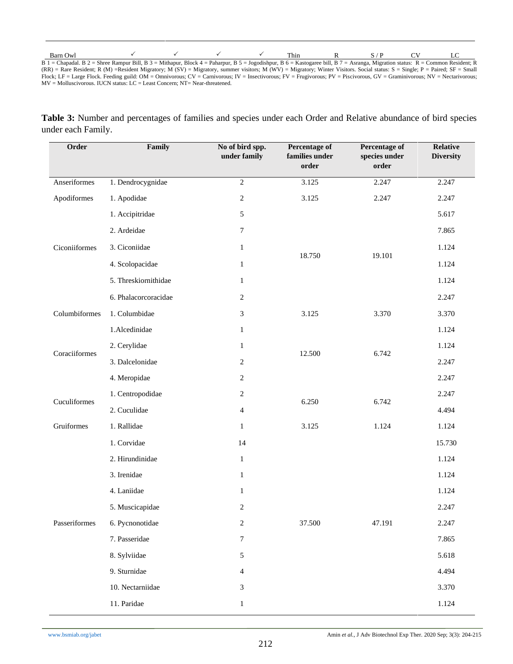| Barn Owl |                                                                                                                                                                                                |  | Thin |  |  |
|----------|------------------------------------------------------------------------------------------------------------------------------------------------------------------------------------------------|--|------|--|--|
|          | $B \ 1 =$ Chapadal. B $2 =$ Shree Rampur Bill, B $3 =$ Mithapur, Block $4 =$ Paharpur, B $5 =$ Jogodishpur, B $6 =$ Kastogaree bill, B $7 =$ Asranga, Migration status: R = Common Resident; R |  |      |  |  |
|          | (RR) = Rare Resident; R (M) =Resident Migratory; M (SV) = Migratory, summer visitors; M (WV) = Migratory; Winter Visitors. Social status: S = Single; P = Paired; SF = Small                   |  |      |  |  |

Flock; LF = Large Flock. Feeding guild: OM = Omnivorous; CV = Carnivorous; IV = Insectivorous; FV = Frugivorous; PV = Piscivorous, GV = Graminivorous; NV = Nectarivorous; MV = Molluscivorous. IUCN status: LC = Least Concern; NT= Near-threatened.

**Table 3:** Number and percentages of families and species under each Order and Relative abundance of bird species under each Family.

| Order         | Family               | No of bird spp.<br>under family | Percentage of<br>families under<br>order | Percentage of<br>species under<br>order | Relative<br><b>Diversity</b> |
|---------------|----------------------|---------------------------------|------------------------------------------|-----------------------------------------|------------------------------|
| Anseriformes  | 1. Dendrocygnidae    | $\overline{2}$                  | 3.125                                    | 2.247                                   | 2.247                        |
| Apodiformes   | 1. Apodidae          | $\sqrt{2}$                      | 3.125                                    | 2.247                                   | 2.247                        |
|               | 1. Accipitridae      | $\sqrt{5}$                      |                                          |                                         | 5.617                        |
|               | 2. Ardeidae          | $\tau$                          |                                          |                                         | 7.865                        |
| Ciconiiformes | 3. Ciconiidae        | $\mathbf{1}$                    | 18.750                                   | 19.101                                  | 1.124                        |
|               | 4. Scolopacidae      | $\mathbf{1}$                    |                                          |                                         | 1.124                        |
|               | 5. Threskiornithidae | $\mathbf{1}$                    |                                          |                                         | 1.124                        |
|               | 6. Phalacorcoracidae | $\sqrt{2}$                      |                                          |                                         | 2.247                        |
| Columbiformes | 1. Columbidae        | $\mathfrak{Z}$                  | 3.125                                    | 3.370                                   | 3.370                        |
|               | 1.Alcedinidae        | $\mathbf{1}$                    |                                          |                                         | 1.124                        |
|               | 2. Cerylidae         | $\mathbf{1}$                    | 12.500                                   | 6.742                                   | 1.124                        |
| Coraciiformes | 3. Dalcelonidae      | $\overline{c}$                  |                                          |                                         | 2.247                        |
|               | 4. Meropidae         | $\sqrt{2}$                      |                                          | 2.247                                   |                              |
| Cuculiformes  | 1. Centropodidae     | $\sqrt{2}$                      | 6.250                                    | 6.742                                   | 2.247                        |
|               | 2. Cuculidae         | $\overline{4}$                  |                                          |                                         | 4.494                        |
| Gruiformes    | 1. Rallidae          | $\mathbf{1}$                    | 3.125                                    | 1.124                                   | 1.124                        |
|               | 1. Corvidae          | 14                              |                                          |                                         | 15.730                       |
|               | 2. Hirundinidae      | $\mathbf{1}$                    |                                          |                                         | 1.124                        |
|               | 3. Irenidae          | $\mathbf{1}$                    |                                          |                                         | 1.124                        |
|               | 4. Laniidae          | 1                               |                                          |                                         | 1.124                        |
|               | 5. Muscicapidae      | $\overline{c}$                  |                                          |                                         | 2.247                        |
| Passeriformes | 6. Pycnonotidae      | $\sqrt{2}$                      | 37.500                                   | 47.191                                  | 2.247                        |
|               | 7. Passeridae        | $\boldsymbol{7}$                |                                          |                                         | 7.865                        |
|               | 8. Sylviidae         | $\mathfrak{H}$                  |                                          |                                         | 5.618                        |
|               | 9. Sturnidae         | $\overline{4}$                  |                                          |                                         | 4.494                        |
|               | 10. Nectarniidae     | $\mathfrak{Z}$                  |                                          |                                         | 3.370                        |
|               | 11. Paridae          | $\mathbf{1}$                    |                                          |                                         | 1.124                        |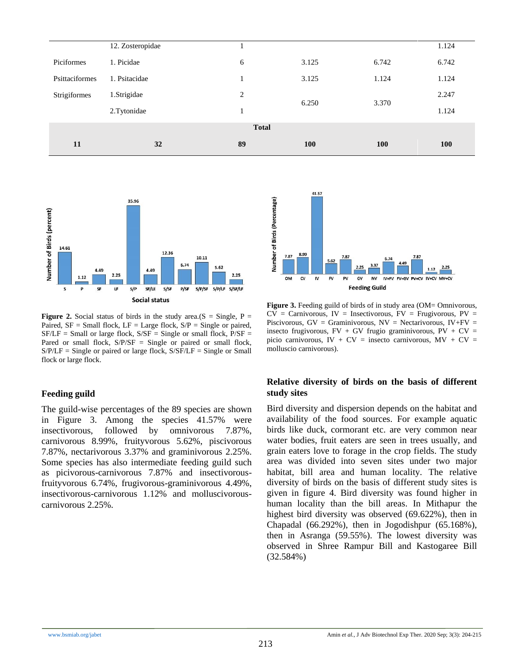| 11             | 32               | 89           | 100   | <b>100</b> | 100   |
|----------------|------------------|--------------|-------|------------|-------|
|                |                  | <b>Total</b> |       |            |       |
|                | 2.Tytonidae      |              |       |            | 1.124 |
| Strigiformes   | 1.Strigidae      | 2            | 6.250 | 3.370      | 2.247 |
| Psittaciformes | 1. Psitacidae    |              | 3.125 | 1.124      | 1.124 |
| Piciformes     | 1. Picidae       | 6            | 3.125 | 6.742      | 6.742 |
|                | 12. Zosteropidae |              |       |            | 1.124 |



**Figure 2.** Social status of birds in the study area.( $S = \text{Single}$ ,  $P =$ Paired,  $SF = Small$  flock,  $LF = Large$  flock,  $S/P = Single$  or paired,  $SF/LF = Small$  or large flock,  $S/SF = Single$  or small flock,  $P/SF =$ Pared or small flock,  $S/P/SF =$  Single or paired or small flock,  $S/P/LF =$  Single or paired or large flock,  $S/SF/LF =$  Single or Small flock or large flock.

### **Feeding guild**

The guild-wise percentages of the 89 species are shown in Figure 3. Among the species 41.57% were insectivorous, followed by omnivorous 7.87%, carnivorous 8.99%, fruityvorous 5.62%, piscivorous 7.87%, nectarivorous 3.37% and graminivorous 2.25%. Some species has also intermediate feeding guild such as picivorous-carnivorous 7.87% and insectivorousfruityvorous 6.74%, frugivorous-graminivorous 4.49%, insectivorous-carnivorous 1.12% and molluscivorouscarnivorous 2.25%.



Figure 3. Feeding guild of birds of in study area (OM= Omnivorous,  $CV = Carnivorous, IV = Insectivorous, FV = Frugivorous, PV =$ Piscivorous,  $GV = Graminivorous$ ,  $NV = Nectarivorous$ ,  $IV+FV =$ insecto frugivorous,  $FV + GV$  frugio graminivorous,  $PV + CV =$ picio carnivorous, IV +  $CV =$  insecto carnivorous,  $MV + CV =$ molluscio carnivorous).

### **Relative diversity of birds on the basis of different study sites**

Bird diversity and dispersion depends on the habitat and availability of the food sources. For example aquatic birds like duck, cormorant etc. are very common near water bodies, fruit eaters are seen in trees usually, and grain eaters love to forage in the crop fields. The study area was divided into seven sites under two major habitat, bill area and human locality. The relative diversity of birds on the basis of different study sites is given in figure 4. Bird diversity was found higher in human locality than the bill areas. In Mithapur the highest bird diversity was observed (69.622%), then in Chapadal (66.292%), then in Jogodishpur (65.168%), then in Asranga (59.55%). The lowest diversity was observed in Shree Rampur Bill and Kastogaree Bill (32.584%)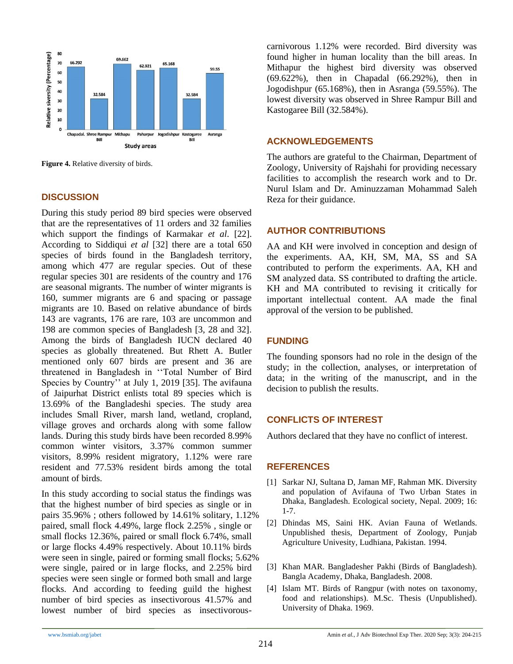

**Figure 4.** Relative diversity of birds.

### **DISCUSSION**

During this study period 89 bird species were observed that are the representatives of 11 orders and 32 families which support the findings of Karmakar *et al*. [22]. According to Siddiqui *et al* [32] there are a total 650 species of birds found in the Bangladesh territory, among which 477 are regular species. Out of these regular species 301 are residents of the country and 176 are seasonal migrants. The number of winter migrants is 160, summer migrants are 6 and spacing or passage migrants are 10. Based on relative abundance of birds 143 are vagrants, 176 are rare, 103 are uncommon and 198 are common species of Bangladesh [3, 28 and 32]. Among the birds of Bangladesh IUCN declared 40 species as globally threatened. But Rhett A. Butler mentioned only 607 birds are present and 36 are threatened in Bangladesh in ''Total Number of Bird Species by Country'' at July 1, 2019 [35]. The avifauna of Jaipurhat District enlists total 89 species which is 13.69% of the Bangladeshi species. The study area includes Small River, marsh land, wetland, cropland, village groves and orchards along with some fallow lands. During this study birds have been recorded 8.99% common winter visitors, 3.37% common summer visitors, 8.99% resident migratory, 1.12% were rare resident and 77.53% resident birds among the total amount of birds.

In this study according to social status the findings was that the highest number of bird species as single or in pairs 35.96% ; others followed by 14.61% solitary, 1.12% paired, small flock 4.49%, large flock 2.25% , single or small flocks 12.36%, paired or small flock 6.74%, small or large flocks 4.49% respectively. About 10.11% birds were seen in single, paired or forming small flocks; 5.62% were single, paired or in large flocks, and 2.25% bird species were seen single or formed both small and large flocks. And according to feeding guild the highest number of bird species as insectivorous 41.57% and lowest number of bird species as insectivorouscarnivorous 1.12% were recorded. Bird diversity was found higher in human locality than the bill areas. In Mithapur the highest bird diversity was observed (69.622%), then in Chapadal (66.292%), then in Jogodishpur (65.168%), then in Asranga (59.55%). The lowest diversity was observed in Shree Rampur Bill and Kastogaree Bill (32.584%).

### **ACKNOWLEDGEMENTS**

The authors are grateful to the Chairman, Department of Zoology, University of Rajshahi for providing necessary facilities to accomplish the research work and to Dr. Nurul Islam and Dr. Aminuzzaman Mohammad Saleh Reza for their guidance.

### **AUTHOR CONTRIBUTIONS**

AA and KH were involved in conception and design of the experiments. AA, KH, SM, MA, SS and SA contributed to perform the experiments. AA, KH and SM analyzed data. SS contributed to drafting the article. KH and MA contributed to revising it critically for important intellectual content. AA made the final approval of the version to be published.

# **FUNDING**

The founding sponsors had no role in the design of the study; in the collection, analyses, or interpretation of data; in the writing of the manuscript, and in the decision to publish the results.

# **CONFLICTS OF INTEREST**

Authors declared that they have no conflict of interest.

### **REFERENCES**

- [1] Sarkar NJ, Sultana D, Jaman MF, Rahman MK. Diversity and population of Avifauna of Two Urban States in Dhaka, Bangladesh. Ecological society, Nepal*.* 2009; 16: 1-7.
- [2] Dhindas MS, Saini HK. Avian Fauna of Wetlands. Unpublished thesis, Department of Zoology, Punjab Agriculture Univesity, Ludhiana, Pakistan. 1994.
- [3] Khan MAR. Bangladesher Pakhi (Birds of Bangladesh). Bangla Academy, Dhaka, Bangladesh. 2008.
- [4] Islam MT. Birds of Rangpur (with notes on taxonomy, food and relationships). M.Sc. Thesis (Unpublished). University of Dhaka. 1969.